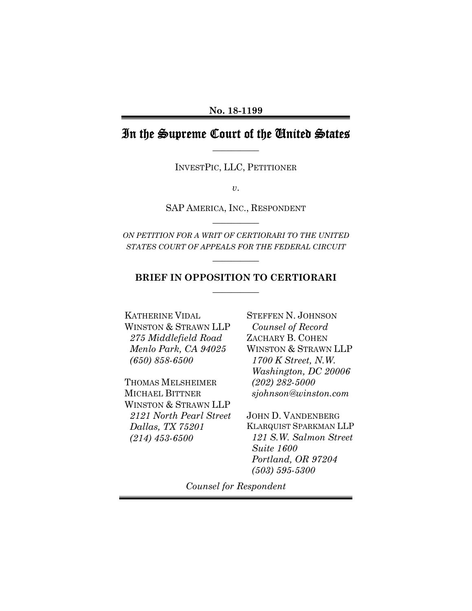# In the Supreme Court of the United States **\_\_\_\_\_\_\_\_\_\_**

INVESTPIC, LLC, PETITIONER

*v*.

SAP AMERICA, INC., RESPONDENT **\_\_\_\_\_\_\_\_\_\_** 

*ON PETITION FOR A WRIT OF CERTIORARI TO THE UNITED STATES COURT OF APPEALS FOR THE FEDERAL CIRCUIT*

**\_\_\_\_\_\_\_\_\_\_** 

## **BRIEF IN OPPOSITION TO CERTIORARI \_\_\_\_\_\_\_\_\_\_**

KATHERINE VIDAL WINSTON & STRAWN LLP  *275 Middlefield Road Menlo Park, CA 94025 (650) 858-6500* 

THOMAS MELSHEIMER MICHAEL BITTNER WINSTON & STRAWN LLP  *2121 North Pearl Street Dallas, TX 75201 (214) 453-6500* 

STEFFEN N. JOHNSON *Counsel of Record*  ZACHARY B. COHEN WINSTON & STRAWN LLP  *1700 K Street, N.W. Washington, DC 20006 (202) 282-5000 sjohnson@winston.com* 

JOHN D. VANDENBERG KLARQUIST SPARKMAN LLP  *121 S.W. Salmon Street Suite 1600 Portland, OR 97204 (503) 595-5300* 

*Counsel for Respondent*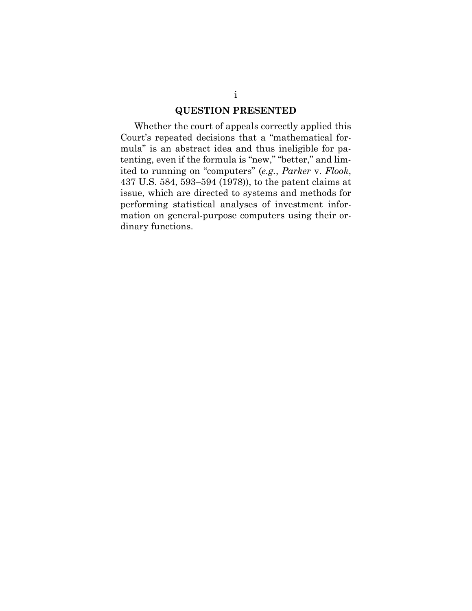#### **QUESTION PRESENTED**

Whether the court of appeals correctly applied this Court's repeated decisions that a "mathematical formula" is an abstract idea and thus ineligible for patenting, even if the formula is "new," "better," and limited to running on "computers" (*e.g.*, *Parker* v. *Flook*, 437 U.S. 584, 593–594 (1978)), to the patent claims at issue, which are directed to systems and methods for performing statistical analyses of investment information on general-purpose computers using their ordinary functions.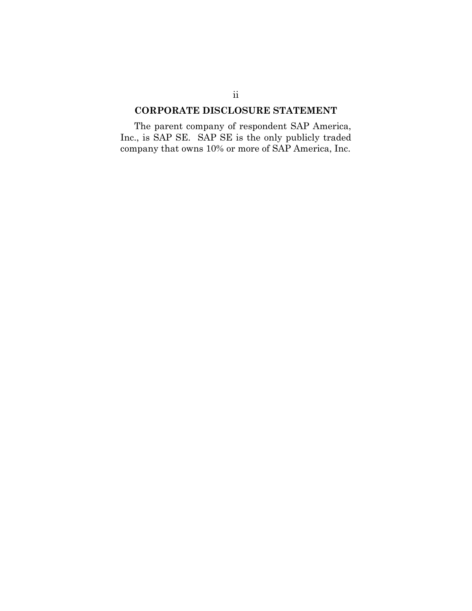### **CORPORATE DISCLOSURE STATEMENT**

The parent company of respondent SAP America, Inc., is SAP SE. SAP SE is the only publicly traded company that owns 10% or more of SAP America, Inc.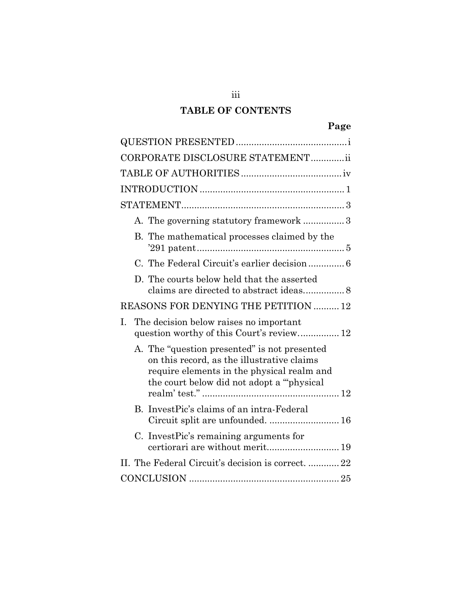# **TABLE OF CONTENTS**

| CORPORATE DISCLOSURE STATEMENTii                                                                                                                                                       |
|----------------------------------------------------------------------------------------------------------------------------------------------------------------------------------------|
|                                                                                                                                                                                        |
|                                                                                                                                                                                        |
|                                                                                                                                                                                        |
| A. The governing statutory framework  3                                                                                                                                                |
| B. The mathematical processes claimed by the                                                                                                                                           |
| C. The Federal Circuit's earlier decision 6                                                                                                                                            |
| D. The courts below held that the asserted                                                                                                                                             |
| REASONS FOR DENYING THE PETITION  12                                                                                                                                                   |
| The decision below raises no important<br>L.<br>question worthy of this Court's review 12                                                                                              |
| A. The "question presented" is not presented<br>on this record, as the illustrative claims<br>require elements in the physical realm and<br>the court below did not adopt a "physical" |
| B. InvestPic's claims of an intra-Federal<br>Circuit split are unfounded.  16                                                                                                          |
| C. Invest Pic's remaining arguments for<br>certiorari are without merit 19                                                                                                             |
| II. The Federal Circuit's decision is correct.  22                                                                                                                                     |
|                                                                                                                                                                                        |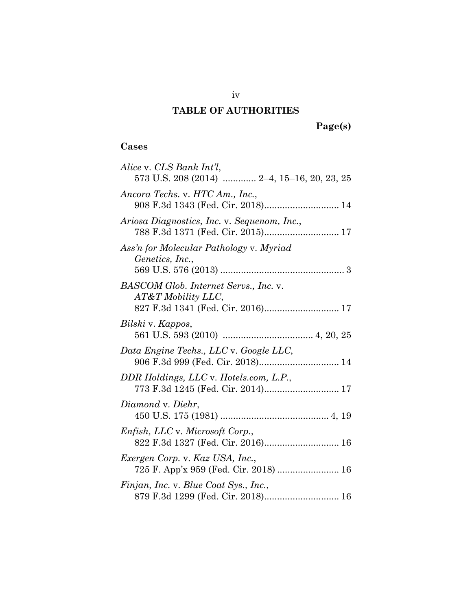# **TABLE OF AUTHORITIES**

 **Page(s)** 

# **Cases**

| Alice v. CLS Bank Int'l,<br>573 U.S. 208 (2014)  2-4, 15-16, 20, 23, 25                          |
|--------------------------------------------------------------------------------------------------|
| Ancora Techs. v. HTC Am., Inc.,<br>908 F.3d 1343 (Fed. Cir. 2018) 14                             |
| Ariosa Diagnostics, Inc. v. Sequenom, Inc.,                                                      |
| Ass'n for Molecular Pathology v. Myriad<br>Genetics, Inc.,                                       |
| BASCOM Glob. Internet Servs., Inc. v.<br>AT&T Mobility LLC,<br>827 F.3d 1341 (Fed. Cir. 2016) 17 |
| Bilski v. Kappos,                                                                                |
| Data Engine Techs., LLC v. Google LLC,<br>906 F.3d 999 (Fed. Cir. 2018) 14                       |
| DDR Holdings, LLC v. Hotels.com, L.P.,                                                           |
| Diamond v. Diehr,                                                                                |
| <i>Enfish, LLC v. Microsoft Corp.,</i><br>822 F.3d 1327 (Fed. Cir. 2016) 16                      |
| Exergen Corp. v. Kaz USA, Inc.,<br>725 F. App'x 959 (Fed. Cir. 2018)  16                         |
| Finjan, Inc. v. Blue Coat Sys., Inc.,<br>879 F.3d 1299 (Fed. Cir. 2018) 16                       |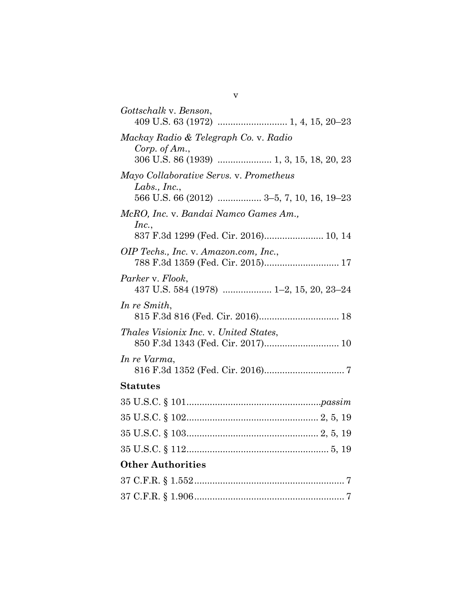| Gottschalk v. Benson,                                     |
|-----------------------------------------------------------|
| Mackay Radio & Telegraph Co. v. Radio<br>Corp. of $Am.$ , |
|                                                           |
| Mayo Collaborative Servs. v. Prometheus                   |
| Labs., Inc.,<br>566 U.S. 66 (2012)  3-5, 7, 10, 16, 19-23 |
| McRO, Inc. v. Bandai Namco Games Am.,                     |
| Inc.,<br>837 F.3d 1299 (Fed. Cir. 2016) 10, 14            |
| OIP Techs., Inc. v. Amazon.com, Inc.,                     |
| Parker v. Flook,                                          |
| In re Smith,                                              |
| Thales Visionix Inc. v. United States,                    |
| In re Varma,                                              |
| <b>Statutes</b>                                           |
|                                                           |
|                                                           |
|                                                           |
|                                                           |
| <b>Other Authorities</b>                                  |
|                                                           |
|                                                           |

v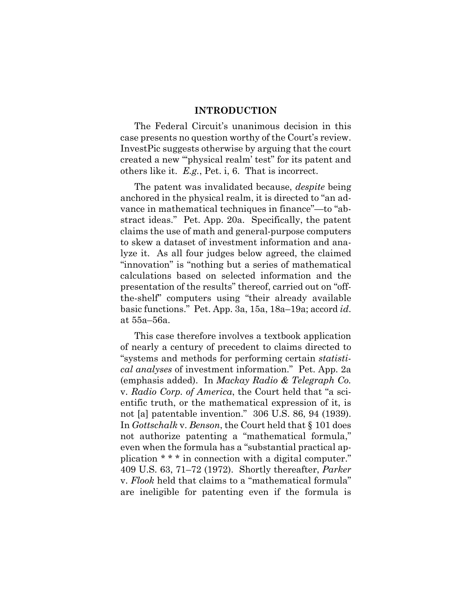#### **INTRODUCTION**

The Federal Circuit's unanimous decision in this case presents no question worthy of the Court's review. InvestPic suggests otherwise by arguing that the court created a new "'physical realm' test" for its patent and others like it. *E.g.*, Pet. i, 6. That is incorrect.

The patent was invalidated because, *despite* being anchored in the physical realm, it is directed to "an advance in mathematical techniques in finance"—to "abstract ideas." Pet. App. 20a. Specifically, the patent claims the use of math and general-purpose computers to skew a dataset of investment information and analyze it. As all four judges below agreed, the claimed "innovation" is "nothing but a series of mathematical calculations based on selected information and the presentation of the results" thereof, carried out on "offthe-shelf" computers using "their already available basic functions." Pet. App. 3a, 15a, 18a–19a; accord *id*. at 55a–56a.

This case therefore involves a textbook application of nearly a century of precedent to claims directed to "systems and methods for performing certain *statistical analyses* of investment information." Pet. App. 2a (emphasis added). In *Mackay Radio & Telegraph Co.*  v. *Radio Corp. of America*, the Court held that "a scientific truth, or the mathematical expression of it, is not [a] patentable invention." 306 U.S. 86, 94 (1939). In *Gottschalk* v. *Benson*, the Court held that § 101 does not authorize patenting a "mathematical formula," even when the formula has a "substantial practical application \* \* \* in connection with a digital computer." 409 U.S. 63, 71–72 (1972). Shortly thereafter, *Parker* v. *Flook* held that claims to a "mathematical formula" are ineligible for patenting even if the formula is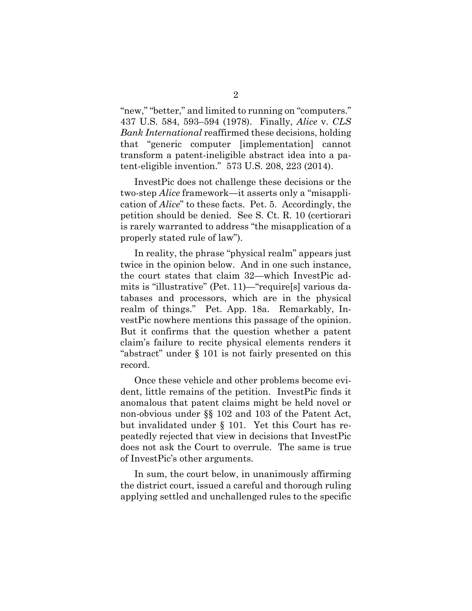"new," "better," and limited to running on "computers." 437 U.S. 584, 593–594 (1978). Finally, *Alice* v. *CLS Bank International* reaffirmed these decisions, holding that "generic computer [implementation] cannot transform a patent-ineligible abstract idea into a patent-eligible invention." 573 U.S. 208, 223 (2014).

InvestPic does not challenge these decisions or the two-step *Alice* framework—it asserts only a "misapplication of *Alice*" to these facts. Pet. 5. Accordingly, the petition should be denied. See S. Ct. R. 10 (certiorari is rarely warranted to address "the misapplication of a properly stated rule of law").

In reality, the phrase "physical realm" appears just twice in the opinion below. And in one such instance, the court states that claim 32—which InvestPic admits is "illustrative" (Pet. 11)—"require[s] various databases and processors, which are in the physical realm of things." Pet. App. 18a. Remarkably, InvestPic nowhere mentions this passage of the opinion. But it confirms that the question whether a patent claim's failure to recite physical elements renders it "abstract" under § 101 is not fairly presented on this record.

Once these vehicle and other problems become evident, little remains of the petition. InvestPic finds it anomalous that patent claims might be held novel or non-obvious under §§ 102 and 103 of the Patent Act, but invalidated under § 101. Yet this Court has repeatedly rejected that view in decisions that InvestPic does not ask the Court to overrule. The same is true of InvestPic's other arguments.

In sum, the court below, in unanimously affirming the district court, issued a careful and thorough ruling applying settled and unchallenged rules to the specific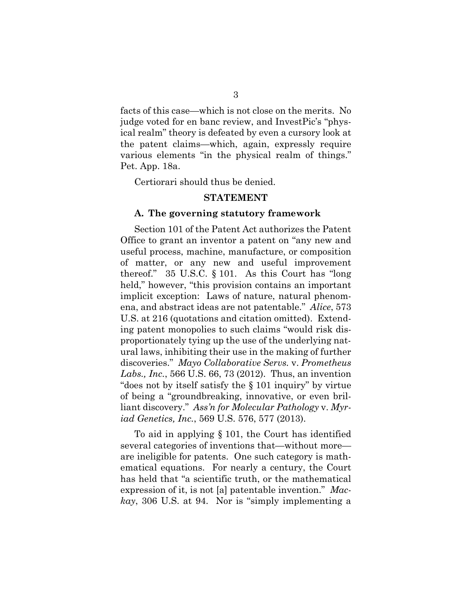facts of this case—which is not close on the merits. No judge voted for en banc review, and InvestPic's "physical realm" theory is defeated by even a cursory look at the patent claims—which, again, expressly require various elements "in the physical realm of things." Pet. App. 18a.

Certiorari should thus be denied.

#### **STATEMENT**

#### **A. The governing statutory framework**

Section 101 of the Patent Act authorizes the Patent Office to grant an inventor a patent on "any new and useful process, machine, manufacture, or composition of matter, or any new and useful improvement thereof." 35 U.S.C. § 101. As this Court has "long held," however, "this provision contains an important implicit exception: Laws of nature, natural phenomena, and abstract ideas are not patentable." *Alice*, 573 U.S. at 216 (quotations and citation omitted). Extending patent monopolies to such claims "would risk disproportionately tying up the use of the underlying natural laws, inhibiting their use in the making of further discoveries." *Mayo Collaborative Servs.* v. *Prometheus Labs., Inc.*, 566 U.S. 66, 73 (2012). Thus, an invention "does not by itself satisfy the § 101 inquiry" by virtue of being a "groundbreaking, innovative, or even brilliant discovery." *Ass'n for Molecular Pathology* v. *Myriad Genetics, Inc.*, 569 U.S. 576, 577 (2013).

To aid in applying § 101, the Court has identified several categories of inventions that—without more are ineligible for patents. One such category is mathematical equations. For nearly a century, the Court has held that "a scientific truth, or the mathematical expression of it, is not [a] patentable invention." *Mackay*, 306 U.S. at 94. Nor is "simply implementing a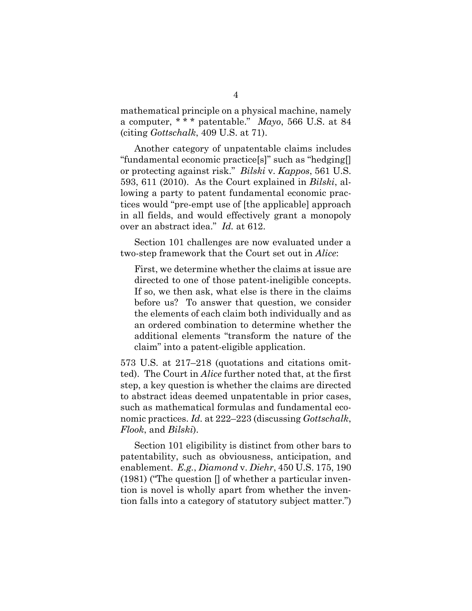mathematical principle on a physical machine, namely a computer, \* \* \* patentable." *Mayo*, 566 U.S. at 84 (citing *Gottschalk*, 409 U.S. at 71).

Another category of unpatentable claims includes "fundamental economic practice[s]" such as "hedging[] or protecting against risk." *Bilski* v. *Kappos*, 561 U.S. 593, 611 (2010). As the Court explained in *Bilski*, allowing a party to patent fundamental economic practices would "pre-empt use of [the applicable] approach in all fields, and would effectively grant a monopoly over an abstract idea." *Id.* at 612.

Section 101 challenges are now evaluated under a two-step framework that the Court set out in *Alice*:

First, we determine whether the claims at issue are directed to one of those patent-ineligible concepts. If so, we then ask, what else is there in the claims before us? To answer that question, we consider the elements of each claim both individually and as an ordered combination to determine whether the additional elements "transform the nature of the claim" into a patent-eligible application.

573 U.S. at 217–218 (quotations and citations omitted). The Court in *Alice* further noted that, at the first step, a key question is whether the claims are directed to abstract ideas deemed unpatentable in prior cases, such as mathematical formulas and fundamental economic practices. *Id.* at 222–223 (discussing *Gottschalk*, *Flook*, and *Bilski*).

Section 101 eligibility is distinct from other bars to patentability, such as obviousness, anticipation, and enablement. *E.g.*, *Diamond* v. *Diehr*, 450 U.S. 175, 190  $(1981)$  ("The question  $\Box$  of whether a particular invention is novel is wholly apart from whether the invention falls into a category of statutory subject matter.")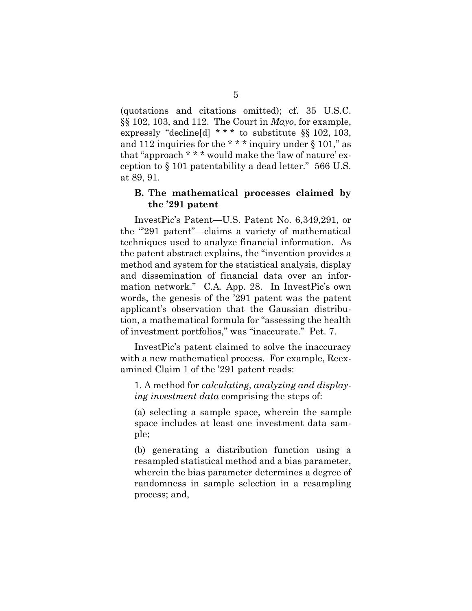(quotations and citations omitted); cf. 35 U.S.C. §§ 102, 103, and 112. The Court in *Mayo*, for example, expressly "decline[d] \* \* \* to substitute §§ 102, 103, and 112 inquiries for the  $***$  inquiry under § 101," as that "approach \* \* \* would make the 'law of nature' exception to § 101 patentability a dead letter." 566 U.S. at 89, 91.

#### **B. The mathematical processes claimed by the '291 patent**

InvestPic's Patent—U.S. Patent No. 6,349,291, or the "291 patent"—claims a variety of mathematical techniques used to analyze financial information. As the patent abstract explains, the "invention provides a method and system for the statistical analysis, display and dissemination of financial data over an information network." C.A. App. 28. In InvestPic's own words, the genesis of the '291 patent was the patent applicant's observation that the Gaussian distribution, a mathematical formula for "assessing the health of investment portfolios," was "inaccurate." Pet. 7.

InvestPic's patent claimed to solve the inaccuracy with a new mathematical process. For example, Reexamined Claim 1 of the '291 patent reads:

1. A method for *calculating, analyzing and displaying investment data* comprising the steps of:

(a) selecting a sample space, wherein the sample space includes at least one investment data sample;

(b) generating a distribution function using a resampled statistical method and a bias parameter, wherein the bias parameter determines a degree of randomness in sample selection in a resampling process; and,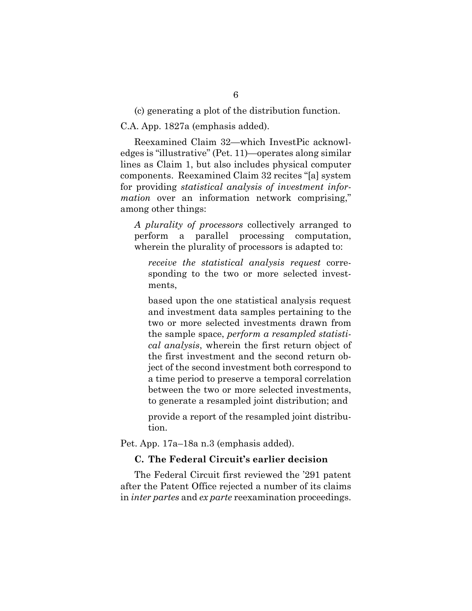(c) generating a plot of the distribution function.

C.A. App. 1827a (emphasis added).

Reexamined Claim 32—which InvestPic acknowledges is "illustrative" (Pet. 11)—operates along similar lines as Claim 1, but also includes physical computer components. Reexamined Claim 32 recites "[a] system for providing *statistical analysis of investment information* over an information network comprising," among other things:

*A plurality of processors* collectively arranged to perform a parallel processing computation, wherein the plurality of processors is adapted to:

*receive the statistical analysis request* corresponding to the two or more selected investments,

based upon the one statistical analysis request and investment data samples pertaining to the two or more selected investments drawn from the sample space, *perform a resampled statistical analysis*, wherein the first return object of the first investment and the second return object of the second investment both correspond to a time period to preserve a temporal correlation between the two or more selected investments, to generate a resampled joint distribution; and

provide a report of the resampled joint distribution.

Pet. App. 17a–18a n.3 (emphasis added).

#### **C. The Federal Circuit's earlier decision**

The Federal Circuit first reviewed the '291 patent after the Patent Office rejected a number of its claims in *inter partes* and *ex parte* reexamination proceedings.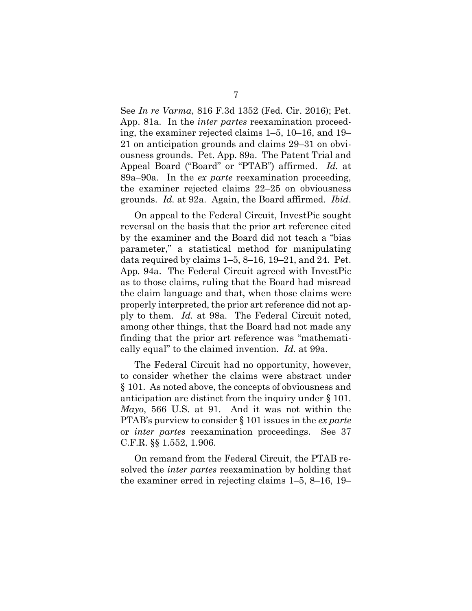See *In re Varma*, 816 F.3d 1352 (Fed. Cir. 2016); Pet. App. 81a. In the *inter partes* reexamination proceeding, the examiner rejected claims 1–5, 10–16, and 19– 21 on anticipation grounds and claims 29–31 on obviousness grounds. Pet. App. 89a. The Patent Trial and Appeal Board ("Board" or "PTAB") affirmed. *Id.* at 89a–90a. In the *ex parte* reexamination proceeding, the examiner rejected claims 22–25 on obviousness grounds. *Id.* at 92a. Again, the Board affirmed. *Ibid*.

On appeal to the Federal Circuit, InvestPic sought reversal on the basis that the prior art reference cited by the examiner and the Board did not teach a "bias parameter," a statistical method for manipulating data required by claims 1–5, 8–16, 19–21, and 24. Pet. App*.* 94a. The Federal Circuit agreed with InvestPic as to those claims, ruling that the Board had misread the claim language and that, when those claims were properly interpreted, the prior art reference did not apply to them. *Id.* at 98a. The Federal Circuit noted, among other things, that the Board had not made any finding that the prior art reference was "mathematically equal" to the claimed invention. *Id.* at 99a.

The Federal Circuit had no opportunity, however, to consider whether the claims were abstract under § 101. As noted above, the concepts of obviousness and anticipation are distinct from the inquiry under § 101. *Mayo*, 566 U.S. at 91. And it was not within the PTAB's purview to consider § 101 issues in the *ex parte*  or *inter partes* reexamination proceedings. See 37 C.F.R. §§ 1.552, 1.906.

On remand from the Federal Circuit, the PTAB resolved the *inter partes* reexamination by holding that the examiner erred in rejecting claims 1–5, 8–16, 19–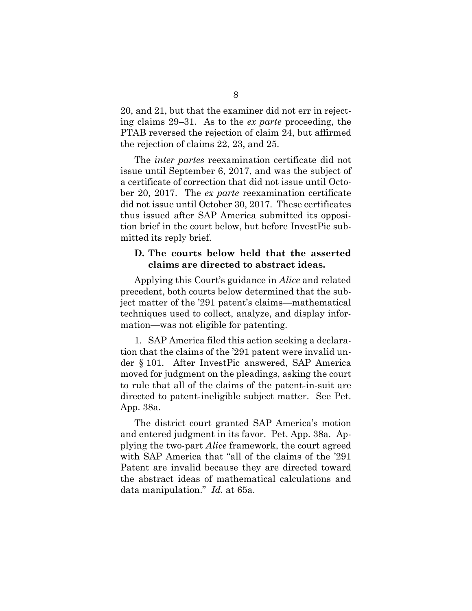20, and 21, but that the examiner did not err in rejecting claims 29–31. As to the *ex parte* proceeding, the PTAB reversed the rejection of claim 24, but affirmed the rejection of claims 22, 23, and 25.

The *inter partes* reexamination certificate did not issue until September 6, 2017, and was the subject of a certificate of correction that did not issue until October 20, 2017. The *ex parte* reexamination certificate did not issue until October 30, 2017. These certificates thus issued after SAP America submitted its opposition brief in the court below, but before InvestPic submitted its reply brief.

### **D. The courts below held that the asserted claims are directed to abstract ideas.**

Applying this Court's guidance in *Alice* and related precedent, both courts below determined that the subject matter of the '291 patent's claims—mathematical techniques used to collect, analyze, and display information—was not eligible for patenting.

1. SAP America filed this action seeking a declaration that the claims of the '291 patent were invalid under § 101. After InvestPic answered, SAP America moved for judgment on the pleadings, asking the court to rule that all of the claims of the patent-in-suit are directed to patent-ineligible subject matter. See Pet. App. 38a.

The district court granted SAP America's motion and entered judgment in its favor. Pet. App. 38a*.* Applying the two-part *Alice* framework, the court agreed with SAP America that "all of the claims of the '291 Patent are invalid because they are directed toward the abstract ideas of mathematical calculations and data manipulation." *Id.* at 65a.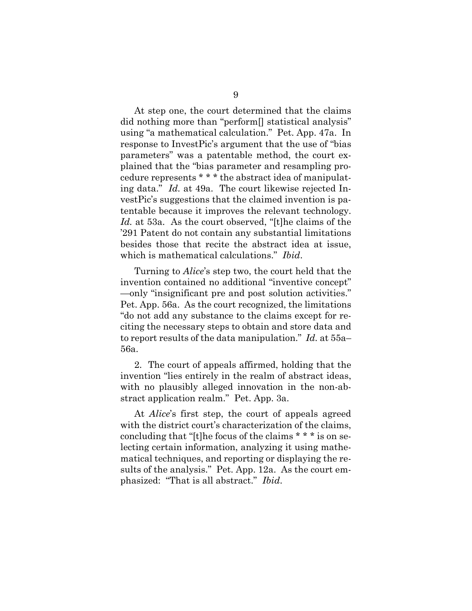At step one, the court determined that the claims did nothing more than "perform[] statistical analysis" using "a mathematical calculation." Pet. App. 47a. In response to InvestPic's argument that the use of "bias parameters" was a patentable method, the court explained that the "bias parameter and resampling procedure represents \* \* \* the abstract idea of manipulating data." *Id.* at 49a. The court likewise rejected InvestPic's suggestions that the claimed invention is patentable because it improves the relevant technology. *Id.* at 53a. As the court observed, "[t]he claims of the '291 Patent do not contain any substantial limitations besides those that recite the abstract idea at issue, which is mathematical calculations." *Ibid*.

Turning to *Alice*'s step two, the court held that the invention contained no additional "inventive concept" —only "insignificant pre and post solution activities." Pet. App. 56a. As the court recognized, the limitations "do not add any substance to the claims except for reciting the necessary steps to obtain and store data and to report results of the data manipulation." *Id.* at 55a– 56a.

2. The court of appeals affirmed, holding that the invention "lies entirely in the realm of abstract ideas, with no plausibly alleged innovation in the non-abstract application realm." Pet. App. 3a.

At *Alice*'s first step, the court of appeals agreed with the district court's characterization of the claims, concluding that "[t]he focus of the claims \* \* \* is on selecting certain information, analyzing it using mathematical techniques, and reporting or displaying the results of the analysis." Pet. App. 12a. As the court emphasized: "That is all abstract." *Ibid*.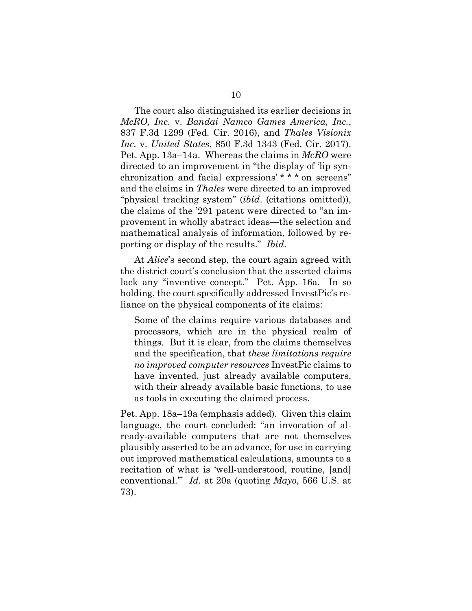The court also distinguished its earlier decisions in *McRO, Inc.* v. *Bandai Namco Games America, Inc.*, 837 F.3d 1299 (Fed. Cir. 2016), and *Thales Visionix Inc.* v. *United States*, 850 F.3d 1343 (Fed. Cir. 2017). Pet. App. 13a–14a. Whereas the claims in *McRO* were directed to an improvement in "the display of 'lip synchronization and facial expressions' \* \* \* on screens" and the claims in *Thales* were directed to an improved "physical tracking system" (*ibid*. (citations omitted)), the claims of the '291 patent were directed to "an improvement in wholly abstract ideas—the selection and mathematical analysis of information, followed by reporting or display of the results." *Ibid*.

At *Alice*'s second step, the court again agreed with the district court's conclusion that the asserted claims lack any "inventive concept." Pet. App. 16a. In so holding, the court specifically addressed InvestPic's reliance on the physical components of its claims:

Some of the claims require various databases and processors, which are in the physical realm of things. But it is clear, from the claims themselves and the specification, that *these limitations require no improved computer resources* InvestPic claims to have invented, just already available computers, with their already available basic functions, to use as tools in executing the claimed process.

Pet. App. 18a–19a (emphasis added). Given this claim language, the court concluded: "an invocation of already-available computers that are not themselves plausibly asserted to be an advance, for use in carrying out improved mathematical calculations, amounts to a recitation of what is 'well-understood, routine, [and] conventional.'" *Id.* at 20a (quoting *Mayo*, 566 U.S. at 73).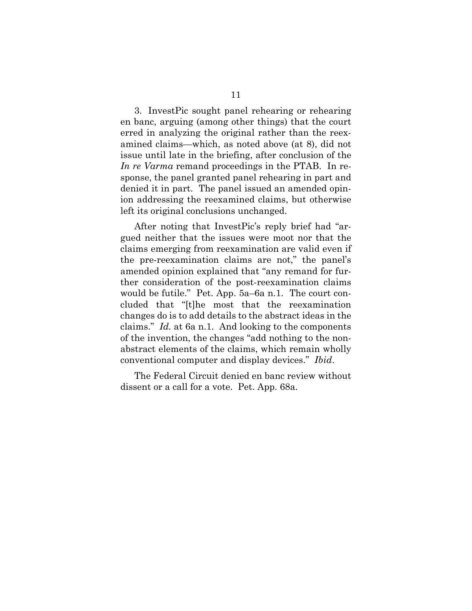3. InvestPic sought panel rehearing or rehearing en banc, arguing (among other things) that the court erred in analyzing the original rather than the reexamined claims—which, as noted above (at 8), did not issue until late in the briefing, after conclusion of the *In re Varma* remand proceedings in the PTAB. In response, the panel granted panel rehearing in part and denied it in part. The panel issued an amended opinion addressing the reexamined claims, but otherwise left its original conclusions unchanged.

After noting that InvestPic's reply brief had "argued neither that the issues were moot nor that the claims emerging from reexamination are valid even if the pre-reexamination claims are not," the panel's amended opinion explained that "any remand for further consideration of the post-reexamination claims would be futile." Pet. App. 5a–6a n.1. The court concluded that "[t]he most that the reexamination changes do is to add details to the abstract ideas in the claims." *Id.* at 6a n.1. And looking to the components of the invention, the changes "add nothing to the nonabstract elements of the claims, which remain wholly conventional computer and display devices." *Ibid*.

The Federal Circuit denied en banc review without dissent or a call for a vote. Pet. App. 68a.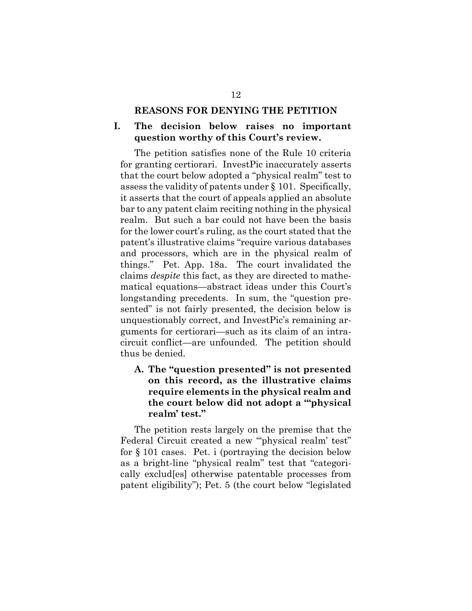#### **REASONS FOR DENYING THE PETITION**

### **I. The decision below raises no important question worthy of this Court's review.**

The petition satisfies none of the Rule 10 criteria for granting certiorari. InvestPic inaccurately asserts that the court below adopted a "physical realm" test to assess the validity of patents under § 101. Specifically, it asserts that the court of appeals applied an absolute bar to any patent claim reciting nothing in the physical realm. But such a bar could not have been the basis for the lower court's ruling, as the court stated that the patent's illustrative claims "require various databases and processors, which are in the physical realm of things." Pet. App. 18a. The court invalidated the claims *despite* this fact, as they are directed to mathematical equations—abstract ideas under this Court's longstanding precedents. In sum, the "question presented" is not fairly presented, the decision below is unquestionably correct, and InvestPic's remaining arguments for certiorari—such as its claim of an intracircuit conflict—are unfounded. The petition should thus be denied.

## **A. The "question presented" is not presented on this record, as the illustrative claims require elements in the physical realm and the court below did not adopt a "'physical realm' test."**

The petition rests largely on the premise that the Federal Circuit created a new ""physical realm' test" for § 101 cases. Pet. i (portraying the decision below as a bright-line "physical realm" test that "categorically exclud[es] otherwise patentable processes from patent eligibility"); Pet. 5 (the court below "legislated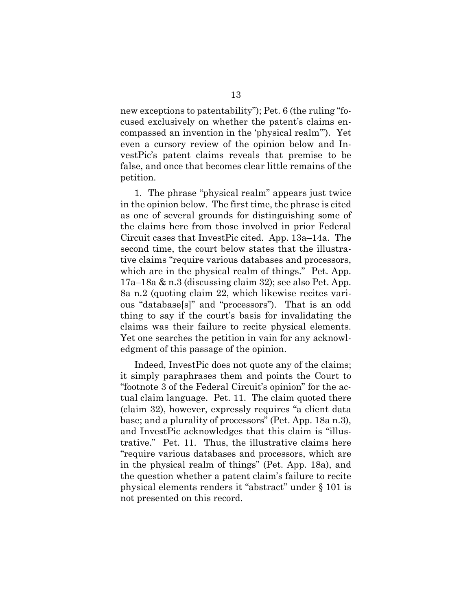new exceptions to patentability"); Pet. 6 (the ruling "focused exclusively on whether the patent's claims encompassed an invention in the 'physical realm'"). Yet even a cursory review of the opinion below and InvestPic's patent claims reveals that premise to be false, and once that becomes clear little remains of the petition.

1. The phrase "physical realm" appears just twice in the opinion below. The first time, the phrase is cited as one of several grounds for distinguishing some of the claims here from those involved in prior Federal Circuit cases that InvestPic cited. App. 13a–14a. The second time, the court below states that the illustrative claims "require various databases and processors, which are in the physical realm of things." Pet. App. 17a–18a & n.3 (discussing claim 32); see also Pet. App. 8a n.2 (quoting claim 22, which likewise recites various "database[s]" and "processors"). That is an odd thing to say if the court's basis for invalidating the claims was their failure to recite physical elements. Yet one searches the petition in vain for any acknowledgment of this passage of the opinion.

Indeed, InvestPic does not quote any of the claims; it simply paraphrases them and points the Court to "footnote 3 of the Federal Circuit's opinion" for the actual claim language. Pet. 11. The claim quoted there (claim 32), however, expressly requires "a client data base; and a plurality of processors" (Pet. App. 18a n.3), and InvestPic acknowledges that this claim is "illustrative." Pet. 11. Thus, the illustrative claims here "require various databases and processors, which are in the physical realm of things" (Pet. App. 18a), and the question whether a patent claim's failure to recite physical elements renders it "abstract" under § 101 is not presented on this record.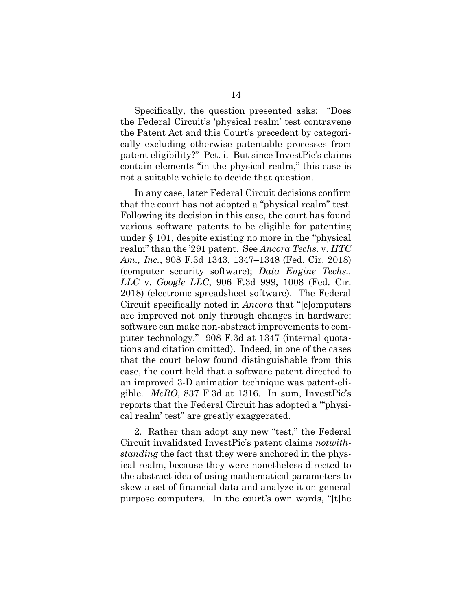Specifically, the question presented asks: "Does the Federal Circuit's 'physical realm' test contravene the Patent Act and this Court's precedent by categorically excluding otherwise patentable processes from patent eligibility?" Pet. i. But since InvestPic's claims contain elements "in the physical realm," this case is not a suitable vehicle to decide that question.

In any case, later Federal Circuit decisions confirm that the court has not adopted a "physical realm" test. Following its decision in this case, the court has found various software patents to be eligible for patenting under § 101, despite existing no more in the "physical realm" than the '291 patent. See *Ancora Techs.* v. *HTC Am., Inc.*, 908 F.3d 1343, 1347–1348 (Fed. Cir. 2018) (computer security software); *Data Engine Techs., LLC* v. *Google LLC*, 906 F.3d 999, 1008 (Fed. Cir. 2018) (electronic spreadsheet software). The Federal Circuit specifically noted in *Ancora* that "[c]omputers are improved not only through changes in hardware; software can make non-abstract improvements to computer technology." 908 F.3d at 1347 (internal quotations and citation omitted). Indeed, in one of the cases that the court below found distinguishable from this case, the court held that a software patent directed to an improved 3-D animation technique was patent-eligible. *McRO*, 837 F.3d at 1316. In sum, InvestPic's reports that the Federal Circuit has adopted a "'physical realm' test" are greatly exaggerated.

2. Rather than adopt any new "test," the Federal Circuit invalidated InvestPic's patent claims *notwithstanding* the fact that they were anchored in the physical realm, because they were nonetheless directed to the abstract idea of using mathematical parameters to skew a set of financial data and analyze it on general purpose computers. In the court's own words, "[t]he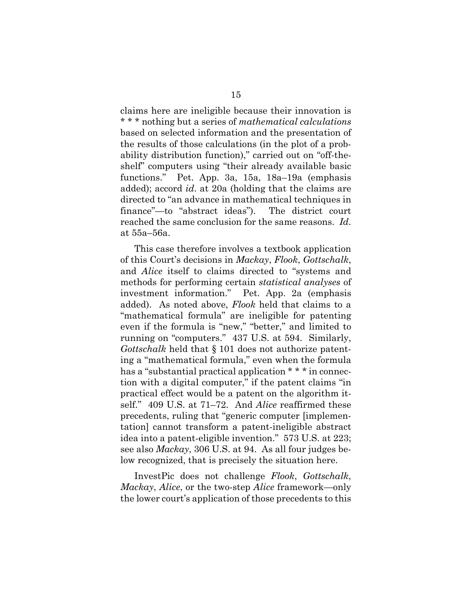claims here are ineligible because their innovation is \* \* \* nothing but a series of *mathematical calculations* based on selected information and the presentation of the results of those calculations (in the plot of a probability distribution function)," carried out on "off-theshelf" computers using "their already available basic functions." Pet. App. 3a, 15a, 18a–19a (emphasis added); accord *id*. at 20a (holding that the claims are directed to "an advance in mathematical techniques in finance"—to "abstract ideas"). The district court reached the same conclusion for the same reasons. *Id*. at 55a–56a.

This case therefore involves a textbook application of this Court's decisions in *Mackay*, *Flook*, *Gottschalk*, and *Alice* itself to claims directed to "systems and methods for performing certain *statistical analyses* of investment information." Pet. App. 2a (emphasis added). As noted above, *Flook* held that claims to a "mathematical formula" are ineligible for patenting even if the formula is "new," "better," and limited to running on "computers." 437 U.S. at 594. Similarly, *Gottschalk* held that § 101 does not authorize patenting a "mathematical formula," even when the formula has a "substantial practical application \* \* \* in connection with a digital computer," if the patent claims "in practical effect would be a patent on the algorithm itself." 409 U.S. at 71–72. And *Alice* reaffirmed these precedents, ruling that "generic computer [implementation] cannot transform a patent-ineligible abstract idea into a patent-eligible invention." 573 U.S. at 223; see also *Mackay*, 306 U.S. at 94. As all four judges below recognized, that is precisely the situation here.

InvestPic does not challenge *Flook*, *Gottschalk*, *Mackay*, *Alice*, or the two-step *Alice* framework—only the lower court's application of those precedents to this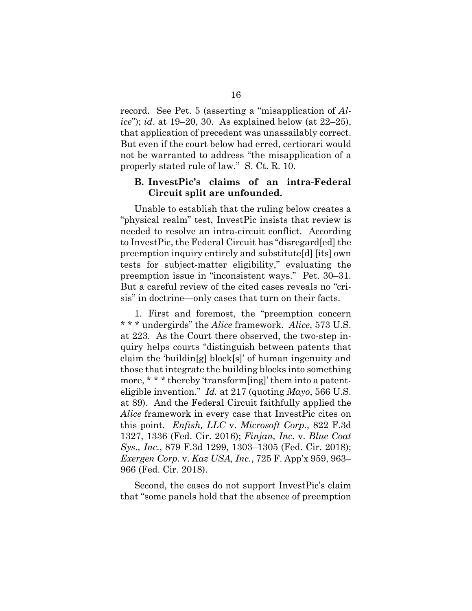record. See Pet. 5 (asserting a "misapplication of *Alice*"); *id*. at 19–20, 30. As explained below (at 22–25), that application of precedent was unassailably correct. But even if the court below had erred, certiorari would not be warranted to address "the misapplication of a properly stated rule of law." S. Ct. R. 10.

### **B. InvestPic's claims of an intra-Federal Circuit split are unfounded.**

Unable to establish that the ruling below creates a "physical realm" test, InvestPic insists that review is needed to resolve an intra-circuit conflict. According to InvestPic, the Federal Circuit has "disregard[ed] the preemption inquiry entirely and substitute[d] [its] own tests for subject-matter eligibility," evaluating the preemption issue in "inconsistent ways." Pet. 30–31. But a careful review of the cited cases reveals no "crisis" in doctrine—only cases that turn on their facts.

1. First and foremost, the "preemption concern \* \* \* undergirds" the *Alice* framework. *Alice*, 573 U.S. at 223. As the Court there observed, the two-step inquiry helps courts "distinguish between patents that claim the 'buildin[g] block[s]' of human ingenuity and those that integrate the building blocks into something more, \* \* \* thereby 'transform[ing]' them into a patenteligible invention." *Id.* at 217 (quoting *Mayo*, 566 U.S. at 89). And the Federal Circuit faithfully applied the *Alice* framework in every case that InvestPic cites on this point. *Enfish, LLC* v. *Microsoft Corp.*, 822 F.3d 1327, 1336 (Fed. Cir. 2016); *Finjan, Inc.* v. *Blue Coat Sys., Inc.*, 879 F.3d 1299, 1303–1305 (Fed. Cir. 2018); *Exergen Corp.* v. *Kaz USA, Inc.*, 725 F. App'x 959, 963– 966 (Fed. Cir. 2018).

Second, the cases do not support InvestPic's claim that "some panels hold that the absence of preemption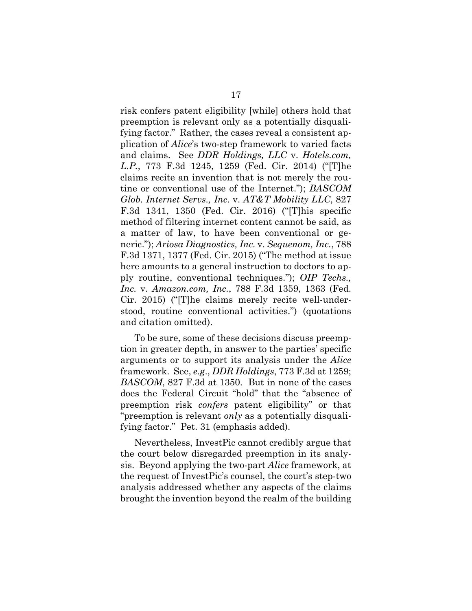risk confers patent eligibility [while] others hold that preemption is relevant only as a potentially disqualifying factor." Rather, the cases reveal a consistent application of *Alice*'s two-step framework to varied facts and claims. See *DDR Holdings, LLC* v. *Hotels.com, L.P.*, 773 F.3d 1245, 1259 (Fed. Cir. 2014) ("[T]he claims recite an invention that is not merely the routine or conventional use of the Internet."); *BASCOM Glob. Internet Servs., Inc.* v. *AT&T Mobility LLC*, 827 F.3d 1341, 1350 (Fed. Cir. 2016) ("[T]his specific method of filtering internet content cannot be said, as a matter of law, to have been conventional or generic."); *Ariosa Diagnostics, Inc.* v. *Sequenom, Inc.*, 788 F.3d 1371, 1377 (Fed. Cir. 2015) ("The method at issue here amounts to a general instruction to doctors to apply routine, conventional techniques."); *OIP Techs., Inc.* v. *Amazon.com, Inc.*, 788 F.3d 1359, 1363 (Fed. Cir. 2015) ("[T]he claims merely recite well-understood, routine conventional activities.") (quotations and citation omitted).

To be sure, some of these decisions discuss preemption in greater depth, in answer to the parties' specific arguments or to support its analysis under the *Alice*  framework. See, *e.g*., *DDR Holdings*, 773 F.3d at 1259; *BASCOM*, 827 F.3d at 1350. But in none of the cases does the Federal Circuit "hold" that the "absence of preemption risk *confers* patent eligibility" or that "preemption is relevant *only* as a potentially disqualifying factor." Pet. 31 (emphasis added).

Nevertheless, InvestPic cannot credibly argue that the court below disregarded preemption in its analysis. Beyond applying the two-part *Alice* framework, at the request of InvestPic's counsel, the court's step-two analysis addressed whether any aspects of the claims brought the invention beyond the realm of the building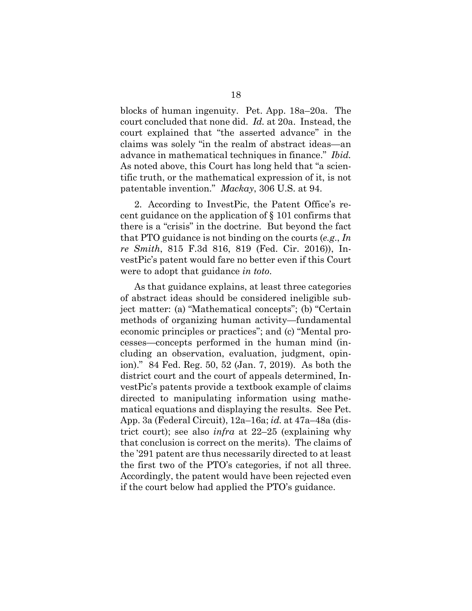blocks of human ingenuity. Pet. App. 18a–20a. The court concluded that none did. *Id.* at 20a. Instead, the court explained that "the asserted advance" in the claims was solely "in the realm of abstract ideas—an advance in mathematical techniques in finance." *Ibid.* As noted above, this Court has long held that "a scientific truth, or the mathematical expression of it, is not patentable invention." *Mackay*, 306 U.S. at 94.

2. According to InvestPic, the Patent Office's recent guidance on the application of § 101 confirms that there is a "crisis" in the doctrine. But beyond the fact that PTO guidance is not binding on the courts (*e.g*., *In re Smith*, 815 F.3d 816, 819 (Fed. Cir. 2016)), InvestPic's patent would fare no better even if this Court were to adopt that guidance *in toto*.

As that guidance explains, at least three categories of abstract ideas should be considered ineligible subject matter: (a) "Mathematical concepts"; (b) "Certain methods of organizing human activity—fundamental economic principles or practices"; and (c) "Mental processes—concepts performed in the human mind (including an observation, evaluation, judgment, opinion)." 84 Fed. Reg. 50, 52 (Jan. 7, 2019). As both the district court and the court of appeals determined, InvestPic's patents provide a textbook example of claims directed to manipulating information using mathematical equations and displaying the results. See Pet. App. 3a (Federal Circuit), 12a–16a; *id.* at 47a–48a (district court); see also *infra* at 22–25 (explaining why that conclusion is correct on the merits). The claims of the '291 patent are thus necessarily directed to at least the first two of the PTO's categories, if not all three. Accordingly, the patent would have been rejected even if the court below had applied the PTO's guidance.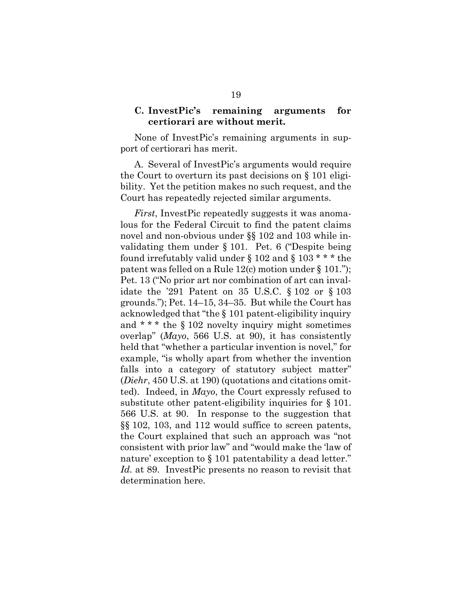### **C. InvestPic's remaining arguments for certiorari are without merit.**

None of InvestPic's remaining arguments in support of certiorari has merit.

A. Several of InvestPic's arguments would require the Court to overturn its past decisions on § 101 eligibility. Yet the petition makes no such request, and the Court has repeatedly rejected similar arguments.

*First*, InvestPic repeatedly suggests it was anomalous for the Federal Circuit to find the patent claims novel and non-obvious under §§ 102 and 103 while invalidating them under § 101. Pet. 6 ("Despite being found irrefutably valid under § 102 and § 103  $***$  the patent was felled on a Rule 12(c) motion under § 101."); Pet. 13 ("No prior art nor combination of art can invalidate the '291 Patent on 35 U.S.C. § 102 or § 103 grounds."); Pet. 14–15, 34–35. But while the Court has acknowledged that "the § 101 patent-eligibility inquiry and \* \* \* the § 102 novelty inquiry might sometimes overlap" (*Mayo*, 566 U.S. at 90), it has consistently held that "whether a particular invention is novel," for example, "is wholly apart from whether the invention falls into a category of statutory subject matter" (*Diehr*, 450 U.S. at 190) (quotations and citations omitted). Indeed, in *Mayo*, the Court expressly refused to substitute other patent-eligibility inquiries for § 101. 566 U.S. at 90. In response to the suggestion that §§ 102, 103, and 112 would suffice to screen patents, the Court explained that such an approach was "not consistent with prior law" and "would make the 'law of nature' exception to § 101 patentability a dead letter." *Id.* at 89. InvestPic presents no reason to revisit that determination here.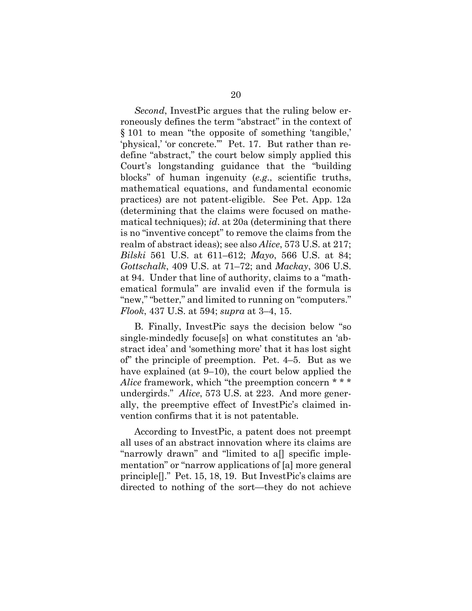*Second*, InvestPic argues that the ruling below erroneously defines the term "abstract" in the context of § 101 to mean "the opposite of something 'tangible,' 'physical,' 'or concrete.'" Pet. 17. But rather than redefine "abstract," the court below simply applied this Court's longstanding guidance that the "building blocks" of human ingenuity (*e.g*., scientific truths, mathematical equations, and fundamental economic practices) are not patent-eligible. See Pet. App. 12a (determining that the claims were focused on mathematical techniques); *id*. at 20a (determining that there is no "inventive concept" to remove the claims from the realm of abstract ideas); see also *Alice*, 573 U.S. at 217; *Bilski* 561 U.S. at 611–612; *Mayo*, 566 U.S. at 84; *Gottschalk*, 409 U.S. at 71–72; and *Mackay*, 306 U.S. at 94. Under that line of authority, claims to a "mathematical formula" are invalid even if the formula is "new," "better," and limited to running on "computers." *Flook*, 437 U.S. at 594; *supra* at 3–4, 15.

B. Finally, InvestPic says the decision below "so single-mindedly focuse[s] on what constitutes an 'abstract idea' and 'something more' that it has lost sight of" the principle of preemption. Pet. 4–5. But as we have explained (at 9–10), the court below applied the *Alice* framework, which "the preemption concern \* \* \* undergirds." *Alice*, 573 U.S. at 223. And more generally, the preemptive effect of InvestPic's claimed invention confirms that it is not patentable.

According to InvestPic, a patent does not preempt all uses of an abstract innovation where its claims are "narrowly drawn" and "limited to a[] specific implementation" or "narrow applications of [a] more general principle[]." Pet. 15, 18, 19. But InvestPic's claims are directed to nothing of the sort—they do not achieve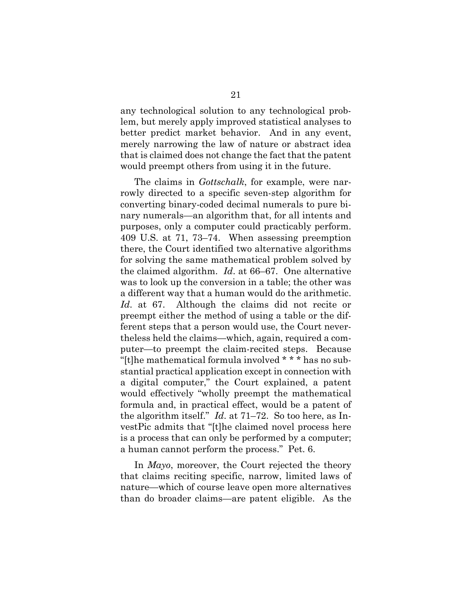any technological solution to any technological problem, but merely apply improved statistical analyses to better predict market behavior. And in any event, merely narrowing the law of nature or abstract idea that is claimed does not change the fact that the patent would preempt others from using it in the future.

The claims in *Gottschalk*, for example, were narrowly directed to a specific seven-step algorithm for converting binary-coded decimal numerals to pure binary numerals—an algorithm that, for all intents and purposes, only a computer could practicably perform. 409 U.S. at 71, 73–74. When assessing preemption there, the Court identified two alternative algorithms for solving the same mathematical problem solved by the claimed algorithm. *Id*. at 66–67. One alternative was to look up the conversion in a table; the other was a different way that a human would do the arithmetic. *Id*. at 67. Although the claims did not recite or preempt either the method of using a table or the different steps that a person would use, the Court nevertheless held the claims—which, again, required a computer—to preempt the claim-recited steps. Because "[t]he mathematical formula involved \* \* \* has no substantial practical application except in connection with a digital computer," the Court explained, a patent would effectively "wholly preempt the mathematical formula and, in practical effect, would be a patent of the algorithm itself." *Id*. at 71–72. So too here, as InvestPic admits that "[t]he claimed novel process here is a process that can only be performed by a computer; a human cannot perform the process." Pet. 6.

In *Mayo*, moreover, the Court rejected the theory that claims reciting specific, narrow, limited laws of nature—which of course leave open more alternatives than do broader claims—are patent eligible. As the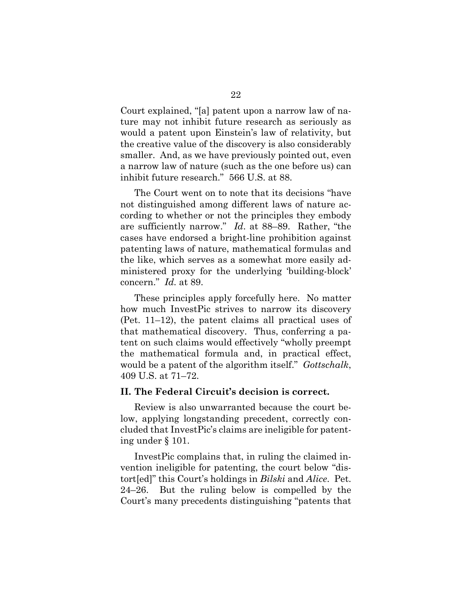Court explained, "[a] patent upon a narrow law of nature may not inhibit future research as seriously as would a patent upon Einstein's law of relativity, but the creative value of the discovery is also considerably smaller. And, as we have previously pointed out, even a narrow law of nature (such as the one before us) can inhibit future research." 566 U.S. at 88.

The Court went on to note that its decisions "have not distinguished among different laws of nature according to whether or not the principles they embody are sufficiently narrow." *Id*. at 88–89. Rather, "the cases have endorsed a bright-line prohibition against patenting laws of nature, mathematical formulas and the like, which serves as a somewhat more easily administered proxy for the underlying 'building-block' concern." *Id.* at 89.

These principles apply forcefully here. No matter how much InvestPic strives to narrow its discovery (Pet. 11–12), the patent claims all practical uses of that mathematical discovery. Thus, conferring a patent on such claims would effectively "wholly preempt the mathematical formula and, in practical effect, would be a patent of the algorithm itself." *Gottschalk*, 409 U.S. at 71–72.

#### **II. The Federal Circuit's decision is correct.**

Review is also unwarranted because the court below, applying longstanding precedent, correctly concluded that InvestPic's claims are ineligible for patenting under § 101.

InvestPic complains that, in ruling the claimed invention ineligible for patenting, the court below "distort[ed]" this Court's holdings in *Bilski* and *Alice*. Pet. 24–26. But the ruling below is compelled by the Court's many precedents distinguishing "patents that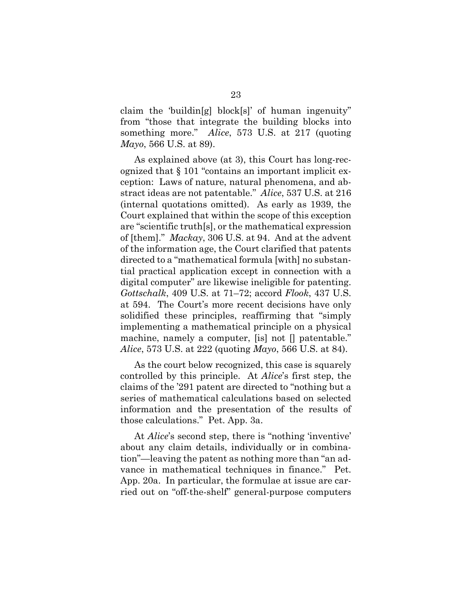claim the 'buildin[g] block[s]' of human ingenuity" from "those that integrate the building blocks into something more." *Alice*, 573 U.S. at 217 (quoting *Mayo*, 566 U.S. at 89).

As explained above (at 3), this Court has long-recognized that § 101 "contains an important implicit exception: Laws of nature, natural phenomena, and abstract ideas are not patentable." *Alice*, 537 U.S. at 216 (internal quotations omitted). As early as 1939, the Court explained that within the scope of this exception are "scientific truth[s], or the mathematical expression of [them]." *Mackay*, 306 U.S. at 94. And at the advent of the information age, the Court clarified that patents directed to a "mathematical formula [with] no substantial practical application except in connection with a digital computer" are likewise ineligible for patenting. *Gottschalk*, 409 U.S. at 71–72; accord *Flook*, 437 U.S. at 594. The Court's more recent decisions have only solidified these principles, reaffirming that "simply implementing a mathematical principle on a physical machine, namely a computer, [is] not [] patentable." *Alice*, 573 U.S. at 222 (quoting *Mayo*, 566 U.S. at 84).

As the court below recognized, this case is squarely controlled by this principle. At *Alice*'s first step, the claims of the '291 patent are directed to "nothing but a series of mathematical calculations based on selected information and the presentation of the results of those calculations." Pet. App. 3a.

At *Alice*'s second step, there is "nothing 'inventive' about any claim details, individually or in combination"—leaving the patent as nothing more than "an advance in mathematical techniques in finance." Pet. App. 20a. In particular, the formulae at issue are carried out on "off-the-shelf" general-purpose computers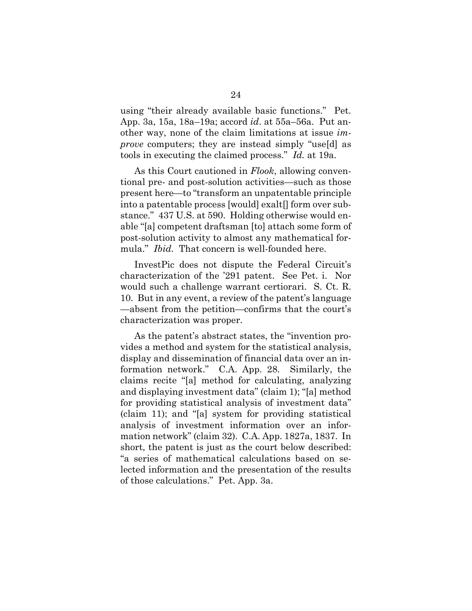using "their already available basic functions." Pet. App. 3a, 15a, 18a–19a; accord *id*. at 55a–56a. Put another way, none of the claim limitations at issue *improve* computers; they are instead simply "use[d] as tools in executing the claimed process." *Id.* at 19a.

As this Court cautioned in *Flook*, allowing conventional pre- and post-solution activities—such as those present here—to "transform an unpatentable principle into a patentable process [would] exalt[] form over substance." 437 U.S. at 590. Holding otherwise would enable "[a] competent draftsman [to] attach some form of post-solution activity to almost any mathematical formula." *Ibid.* That concern is well-founded here.

InvestPic does not dispute the Federal Circuit's characterization of the '291 patent. See Pet. i. Nor would such a challenge warrant certiorari. S. Ct. R. 10. But in any event, a review of the patent's language —absent from the petition—confirms that the court's characterization was proper.

As the patent's abstract states, the "invention provides a method and system for the statistical analysis, display and dissemination of financial data over an information network." C.A. App. 28. Similarly, the claims recite "[a] method for calculating, analyzing and displaying investment data" (claim 1); "[a] method for providing statistical analysis of investment data" (claim 11); and "[a] system for providing statistical analysis of investment information over an information network" (claim 32). C.A. App. 1827a, 1837. In short, the patent is just as the court below described: "a series of mathematical calculations based on selected information and the presentation of the results of those calculations." Pet. App. 3a.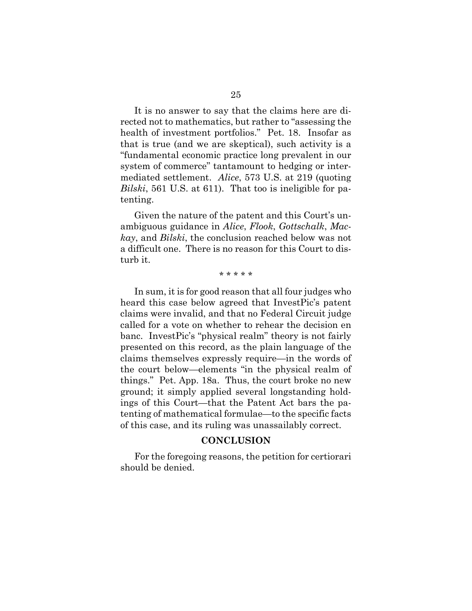It is no answer to say that the claims here are directed not to mathematics, but rather to "assessing the health of investment portfolios." Pet. 18. Insofar as that is true (and we are skeptical), such activity is a "fundamental economic practice long prevalent in our system of commerce" tantamount to hedging or intermediated settlement. *Alice*, 573 U.S. at 219 (quoting *Bilski*, 561 U.S. at 611). That too is ineligible for patenting.

Given the nature of the patent and this Court's unambiguous guidance in *Alice*, *Flook*, *Gottschalk*, *Mackay*, and *Bilski*, the conclusion reached below was not a difficult one. There is no reason for this Court to disturb it.

#### \* \* \* \* \*

In sum, it is for good reason that all four judges who heard this case below agreed that InvestPic's patent claims were invalid, and that no Federal Circuit judge called for a vote on whether to rehear the decision en banc. InvestPic's "physical realm" theory is not fairly presented on this record, as the plain language of the claims themselves expressly require—in the words of the court below—elements "in the physical realm of things." Pet. App. 18a. Thus, the court broke no new ground; it simply applied several longstanding holdings of this Court—that the Patent Act bars the patenting of mathematical formulae—to the specific facts of this case, and its ruling was unassailably correct.

#### **CONCLUSION**

For the foregoing reasons, the petition for certiorari should be denied.